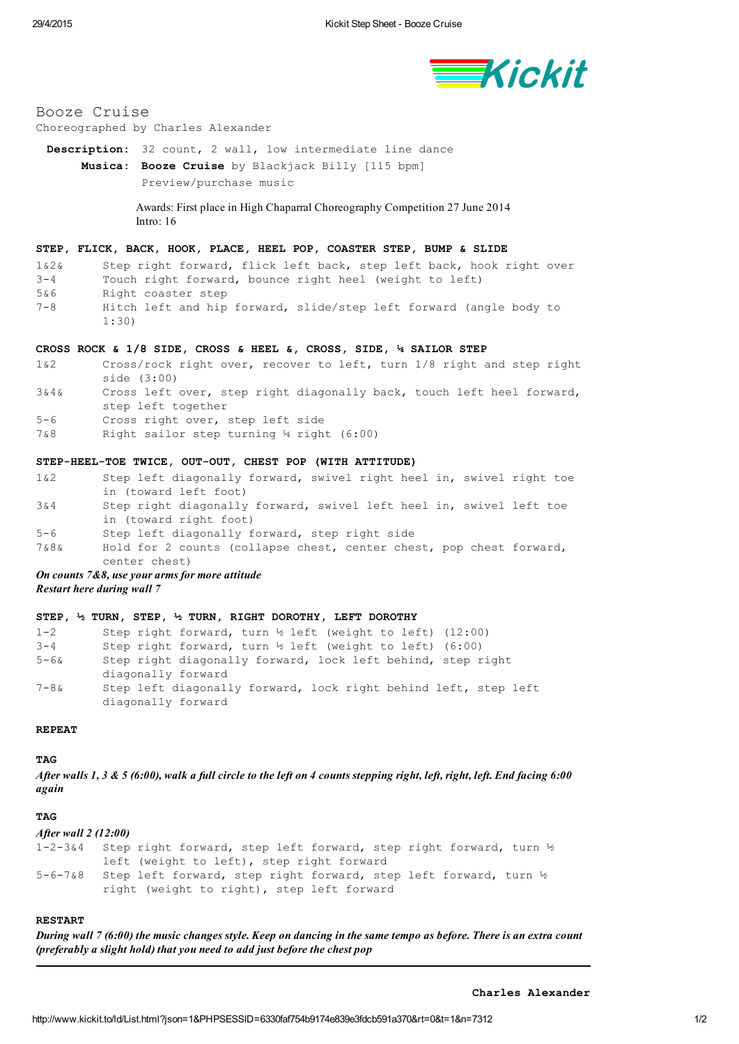

# Booze Cruise

## Choreographed by Charles Alexander

Description: 32 count, 2 wall, low intermediate line dance Musica: Booze Cruise by Blackjack Billy [115 bpm] [Preview/purchase](http://www.kickit.to/ld/MusicInfo.html?json=1&PHPSESSID=6330faf754b9174e839e3fdcb591a370&n=7312) music

> Awards: First place in High Chaparral Choreography Competition 27 June 2014 Intro: 16

# STEP, FLICK, BACK, HOOK, PLACE, HEEL POP, COASTER STEP, BUMP & SLIDE

1&2& Step right forward, flick left back, step left back, hook right over 34 Touch right forward, bounce right heel (weight to left)

- 5&6 Right coaster step
- 7-8 Hitch left and hip forward, slide/step left forward (angle body to 1:30)

## CROSS ROCK & 1/8 SIDE, CROSS & HEEL &, CROSS, SIDE, ¼ SAILOR STEP

- 1&2 Cross/rock right over, recover to left, turn 1/8 right and step right side (3:00)
- 3&4& Cross left over, step right diagonally back, touch left heel forward, step left together
- 56 Cross right over, step left side
- 7&8 Right sailor step turning ¼ right (6:00)

## STEP-HEEL-TOE TWICE, OUT-OUT, CHEST POP (WITH ATTITUDE)

- 1&2 Step left diagonally forward, swivel right heel in, swivel right toe in (toward left foot) 3&4 Step right diagonally forward, swivel left heel in, swivel left toe
- in (toward right foot)
- 56 Step left diagonally forward, step right side
- 7&8& Hold for 2 counts (collapse chest, center chest, pop chest forward, center chest)

On counts 7&8, use your arms for more attitude Restart here during wall 7

## STEP, ½ TURN, STEP, ½ TURN, RIGHT DOROTHY, LEFT DOROTHY

| $1 - 2$  | Step right forward, turn $\frac{1}{2}$ left (weight to left) (12:00) |
|----------|----------------------------------------------------------------------|
| $3 - 4$  | Step right forward, turn $\frac{1}{2}$ left (weight to left) (6:00)  |
| 5-6&     | Step right diagonally forward, lock left behind, step right          |
|          | diagonally forward                                                   |
| $7 - 8k$ | Step left diagonally forward, lock right behind left, step left      |
|          | diagonally forward                                                   |

#### REPEAT

TAG

After walls 1, 3 & 5 (6:00), walk a full circle to the left on 4 counts stepping right, left, right, left. End facing 6:00 again

#### **TAG**

#### After wall 2 (12:00)

1-2-3&4 Step right forward, step left forward, step right forward, turn ½ left (weight to left), step right forward 5-6-7&8 Step left forward, step right forward, step left forward, turn ½ right (weight to right), step left forward

# RESTART

During wall 7 (6:00) the music changes style. Keep on dancing in the same tempo as before. There is an extra count (preferably a slight hold) that you need to add just before the chest pop